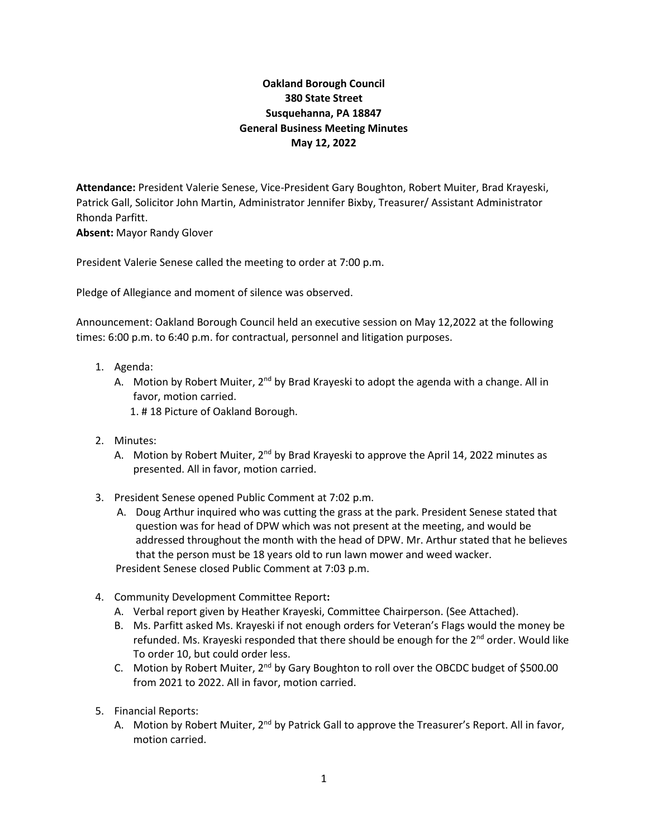## **Oakland Borough Council 380 State Street Susquehanna, PA 18847 General Business Meeting Minutes May 12, 2022**

**Attendance:** President Valerie Senese, Vice-President Gary Boughton, Robert Muiter, Brad Krayeski, Patrick Gall, Solicitor John Martin, Administrator Jennifer Bixby, Treasurer/ Assistant Administrator Rhonda Parfitt.

**Absent:** Mayor Randy Glover

President Valerie Senese called the meeting to order at 7:00 p.m.

Pledge of Allegiance and moment of silence was observed.

Announcement: Oakland Borough Council held an executive session on May 12,2022 at the following times: 6:00 p.m. to 6:40 p.m. for contractual, personnel and litigation purposes.

- 1. Agenda:
	- A. Motion by Robert Muiter,  $2^{nd}$  by Brad Krayeski to adopt the agenda with a change. All in favor, motion carried.
		- 1. # 18 Picture of Oakland Borough.
- 2. Minutes:
	- A. Motion by Robert Muiter,  $2^{nd}$  by Brad Krayeski to approve the April 14, 2022 minutes as presented. All in favor, motion carried.
- 3. President Senese opened Public Comment at 7:02 p.m.
	- A. Doug Arthur inquired who was cutting the grass at the park. President Senese stated that question was for head of DPW which was not present at the meeting, and would be addressed throughout the month with the head of DPW. Mr. Arthur stated that he believes that the person must be 18 years old to run lawn mower and weed wacker. President Senese closed Public Comment at 7:03 p.m.
- 4. Community Development Committee Report**:**
	- A. Verbal report given by Heather Krayeski, Committee Chairperson. (See Attached).
	- B. Ms. Parfitt asked Ms. Krayeski if not enough orders for Veteran's Flags would the money be refunded. Ms. Krayeski responded that there should be enough for the 2<sup>nd</sup> order. Would like To order 10, but could order less.
	- C. Motion by Robert Muiter,  $2^{nd}$  by Gary Boughton to roll over the OBCDC budget of \$500.00 from 2021 to 2022. All in favor, motion carried.
- 5. Financial Reports:
	- A. Motion by Robert Muiter, 2<sup>nd</sup> by Patrick Gall to approve the Treasurer's Report. All in favor, motion carried.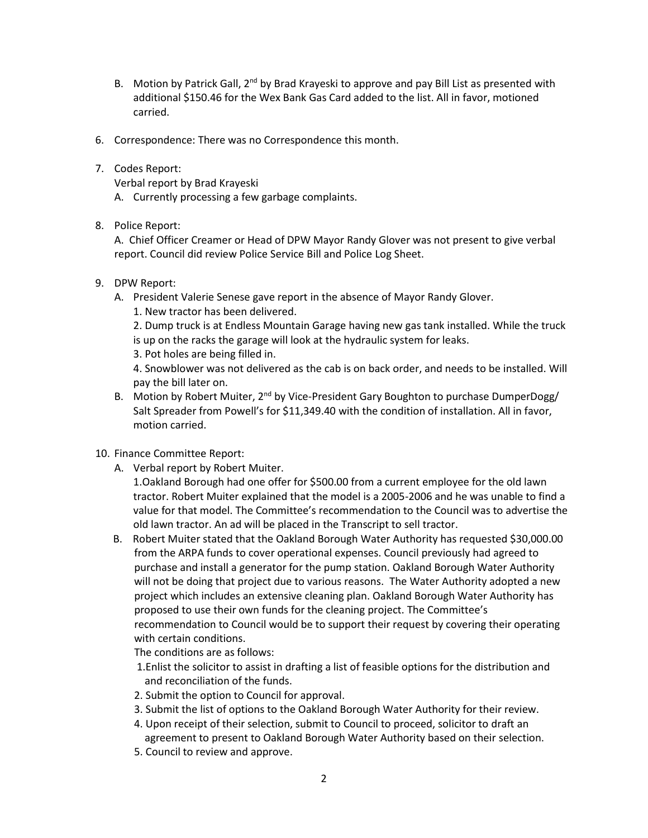- B. Motion by Patrick Gall,  $2<sup>nd</sup>$  by Brad Krayeski to approve and pay Bill List as presented with additional \$150.46 for the Wex Bank Gas Card added to the list. All in favor, motioned carried.
- 6. Correspondence: There was no Correspondence this month.
- 7. Codes Report:

Verbal report by Brad Krayeski

- A. Currently processing a few garbage complaints.
- 8. Police Report:

A. Chief Officer Creamer or Head of DPW Mayor Randy Glover was not present to give verbal report. Council did review Police Service Bill and Police Log Sheet.

- 9. DPW Report:
	- A. President Valerie Senese gave report in the absence of Mayor Randy Glover.
		- 1. New tractor has been delivered.

2. Dump truck is at Endless Mountain Garage having new gas tank installed. While the truck is up on the racks the garage will look at the hydraulic system for leaks.

3. Pot holes are being filled in.

4. Snowblower was not delivered as the cab is on back order, and needs to be installed. Will pay the bill later on.

- B. Motion by Robert Muiter, 2<sup>nd</sup> by Vice-President Gary Boughton to purchase DumperDogg/ Salt Spreader from Powell's for \$11,349.40 with the condition of installation. All in favor, motion carried.
- 10. Finance Committee Report:
	- A. Verbal report by Robert Muiter.

1.Oakland Borough had one offer for \$500.00 from a current employee for the old lawn tractor. Robert Muiter explained that the model is a 2005-2006 and he was unable to find a value for that model. The Committee's recommendation to the Council was to advertise the old lawn tractor. An ad will be placed in the Transcript to sell tractor.

 B. Robert Muiter stated that the Oakland Borough Water Authority has requested \$30,000.00 from the ARPA funds to cover operational expenses. Council previously had agreed to purchase and install a generator for the pump station. Oakland Borough Water Authority will not be doing that project due to various reasons. The Water Authority adopted a new project which includes an extensive cleaning plan. Oakland Borough Water Authority has proposed to use their own funds for the cleaning project. The Committee's recommendation to Council would be to support their request by covering their operating with certain conditions.

The conditions are as follows:

- 1.Enlist the solicitor to assist in drafting a list of feasible options for the distribution and and reconciliation of the funds.
- 2. Submit the option to Council for approval.
- 3. Submit the list of options to the Oakland Borough Water Authority for their review.
- 4. Upon receipt of their selection, submit to Council to proceed, solicitor to draft an agreement to present to Oakland Borough Water Authority based on their selection.
- 5. Council to review and approve.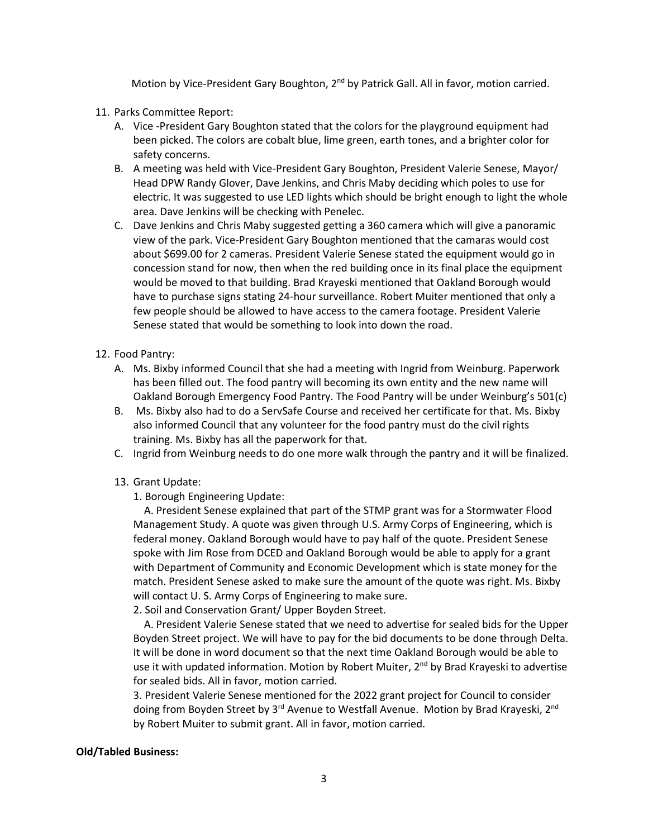Motion by Vice-President Gary Boughton, 2<sup>nd</sup> by Patrick Gall. All in favor, motion carried.

- 11. Parks Committee Report:
	- A. Vice -President Gary Boughton stated that the colors for the playground equipment had been picked. The colors are cobalt blue, lime green, earth tones, and a brighter color for safety concerns.
	- B. A meeting was held with Vice-President Gary Boughton, President Valerie Senese, Mayor/ Head DPW Randy Glover, Dave Jenkins, and Chris Maby deciding which poles to use for electric. It was suggested to use LED lights which should be bright enough to light the whole area. Dave Jenkins will be checking with Penelec.
	- C. Dave Jenkins and Chris Maby suggested getting a 360 camera which will give a panoramic view of the park. Vice-President Gary Boughton mentioned that the camaras would cost about \$699.00 for 2 cameras. President Valerie Senese stated the equipment would go in concession stand for now, then when the red building once in its final place the equipment would be moved to that building. Brad Krayeski mentioned that Oakland Borough would have to purchase signs stating 24-hour surveillance. Robert Muiter mentioned that only a few people should be allowed to have access to the camera footage. President Valerie Senese stated that would be something to look into down the road.
- 12. Food Pantry:
	- A. Ms. Bixby informed Council that she had a meeting with Ingrid from Weinburg. Paperwork has been filled out. The food pantry will becoming its own entity and the new name will Oakland Borough Emergency Food Pantry. The Food Pantry will be under Weinburg's 501(c)
	- B. Ms. Bixby also had to do a ServSafe Course and received her certificate for that. Ms. Bixby also informed Council that any volunteer for the food pantry must do the civil rights training. Ms. Bixby has all the paperwork for that.
	- C. Ingrid from Weinburg needs to do one more walk through the pantry and it will be finalized.
	- 13. Grant Update:
		- 1. Borough Engineering Update:

 A. President Senese explained that part of the STMP grant was for a Stormwater Flood Management Study. A quote was given through U.S. Army Corps of Engineering, which is federal money. Oakland Borough would have to pay half of the quote. President Senese spoke with Jim Rose from DCED and Oakland Borough would be able to apply for a grant with Department of Community and Economic Development which is state money for the match. President Senese asked to make sure the amount of the quote was right. Ms. Bixby will contact U. S. Army Corps of Engineering to make sure.

2. Soil and Conservation Grant/ Upper Boyden Street.

 A. President Valerie Senese stated that we need to advertise for sealed bids for the Upper Boyden Street project. We will have to pay for the bid documents to be done through Delta. It will be done in word document so that the next time Oakland Borough would be able to use it with updated information. Motion by Robert Muiter,  $2<sup>nd</sup>$  by Brad Krayeski to advertise for sealed bids. All in favor, motion carried.

3. President Valerie Senese mentioned for the 2022 grant project for Council to consider doing from Boyden Street by 3<sup>rd</sup> Avenue to Westfall Avenue. Motion by Brad Krayeski, 2<sup>nd</sup> by Robert Muiter to submit grant. All in favor, motion carried.

## **Old/Tabled Business:**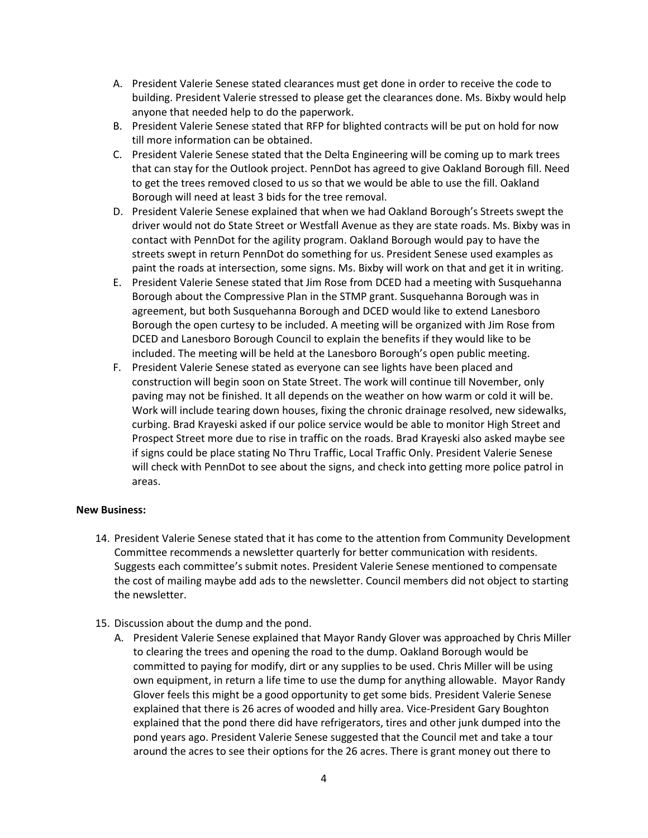- A. President Valerie Senese stated clearances must get done in order to receive the code to building. President Valerie stressed to please get the clearances done. Ms. Bixby would help anyone that needed help to do the paperwork.
- B. President Valerie Senese stated that RFP for blighted contracts will be put on hold for now till more information can be obtained.
- C. President Valerie Senese stated that the Delta Engineering will be coming up to mark trees that can stay for the Outlook project. PennDot has agreed to give Oakland Borough fill. Need to get the trees removed closed to us so that we would be able to use the fill. Oakland Borough will need at least 3 bids for the tree removal.
- D. President Valerie Senese explained that when we had Oakland Borough's Streets swept the driver would not do State Street or Westfall Avenue as they are state roads. Ms. Bixby was in contact with PennDot for the agility program. Oakland Borough would pay to have the streets swept in return PennDot do something for us. President Senese used examples as paint the roads at intersection, some signs. Ms. Bixby will work on that and get it in writing.
- E. President Valerie Senese stated that Jim Rose from DCED had a meeting with Susquehanna Borough about the Compressive Plan in the STMP grant. Susquehanna Borough was in agreement, but both Susquehanna Borough and DCED would like to extend Lanesboro Borough the open curtesy to be included. A meeting will be organized with Jim Rose from DCED and Lanesboro Borough Council to explain the benefits if they would like to be included. The meeting will be held at the Lanesboro Borough's open public meeting.
- F. President Valerie Senese stated as everyone can see lights have been placed and construction will begin soon on State Street. The work will continue till November, only paving may not be finished. It all depends on the weather on how warm or cold it will be. Work will include tearing down houses, fixing the chronic drainage resolved, new sidewalks, curbing. Brad Krayeski asked if our police service would be able to monitor High Street and Prospect Street more due to rise in traffic on the roads. Brad Krayeski also asked maybe see if signs could be place stating No Thru Traffic, Local Traffic Only. President Valerie Senese will check with PennDot to see about the signs, and check into getting more police patrol in areas.

## **New Business:**

- 14. President Valerie Senese stated that it has come to the attention from Community Development Committee recommends a newsletter quarterly for better communication with residents. Suggests each committee's submit notes. President Valerie Senese mentioned to compensate the cost of mailing maybe add ads to the newsletter. Council members did not object to starting the newsletter.
- 15. Discussion about the dump and the pond.
	- A. President Valerie Senese explained that Mayor Randy Glover was approached by Chris Miller to clearing the trees and opening the road to the dump. Oakland Borough would be committed to paying for modify, dirt or any supplies to be used. Chris Miller will be using own equipment, in return a life time to use the dump for anything allowable. Mayor Randy Glover feels this might be a good opportunity to get some bids. President Valerie Senese explained that there is 26 acres of wooded and hilly area. Vice-President Gary Boughton explained that the pond there did have refrigerators, tires and other junk dumped into the pond years ago. President Valerie Senese suggested that the Council met and take a tour around the acres to see their options for the 26 acres. There is grant money out there to